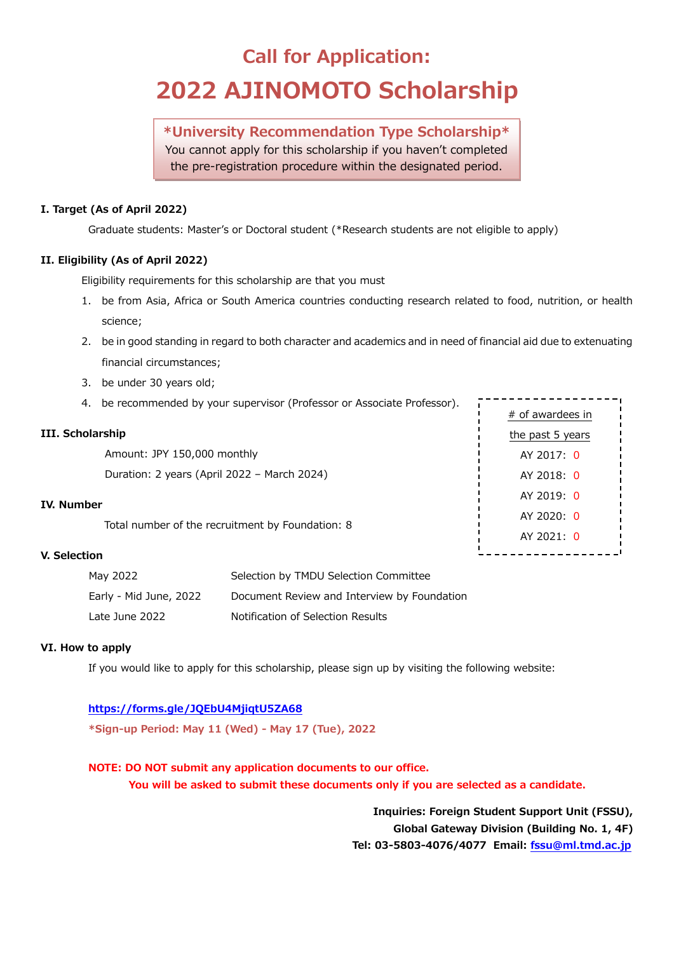# **Call for Application: 2022 AJINOMOTO Scholarship**

**\*University Recommendation Type Scholarship\*** You cannot apply for this scholarship if you haven't completed

the pre-registration procedure within the designated period.

### **I. Target (As of April 2022)**

Graduate students: Master's or Doctoral student (\*Research students are not eligible to apply)

### **II. Eligibility (As of April 2022)**

Eligibility requirements for this scholarship are that you must

- 1. be from Asia, Africa or South America countries conducting research related to food, nutrition, or health science;
- 2. be in good standing in regard to both character and academics and in need of financial aid due to extenuating financial circumstances;
- 3. be under 30 years old;
- 4. be recommended by your supervisor (Professor or Associate Professor).

### **III. Scholarship**

Amount: JPY 150,000 monthly

Duration: 2 years (April 2022 – March 2024)

### **IV. Number**

Total number of the recruitment by Foundation: 8

### **V. Selection**

| May 2022               | Selection by TMDU Selection Committee       |
|------------------------|---------------------------------------------|
| Early - Mid June, 2022 | Document Review and Interview by Foundation |
| Late June 2022         | Notification of Selection Results           |

### **VI. How to apply**

If you would like to apply for this scholarship, please sign up by visiting the following website:

### **<https://forms.gle/JQEbU4MjiqtU5ZA68>**

**\*Sign-up Period: May 11 (Wed) - May 17 (Tue), 2022**

### **NOTE: DO NOT submit any application documents to our office.**

**You will be asked to submit these documents only if you are selected as a candidate.**

**Inquiries: Foreign Student Support Unit (FSSU), Global Gateway Division (Building No. 1, 4F) Tel: 03-5803-4076/4077 Email: [fssu@ml.tmd.ac.jp](mailto:fssu@ml.tmd.ac.jp)**

# of awardees in the past 5 years AY 2017: 0 AY 2018: 0 AY 2019: 0 AY 2020: 0 AY 2021: 0\_ \_ \_ \_ \_ \_ \_ \_ \_ \_ \_ \_ .